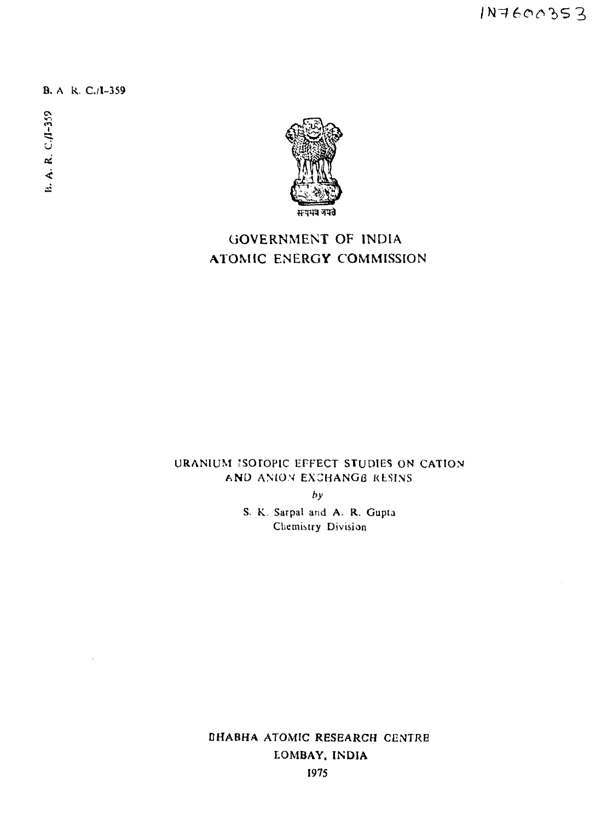1N7600353

B. A R. C./1-359

B. A. R. C./I-359



# GOVERNMENT OF INDIA ATOMIC ENERGY COMMISSION

# URANIUM JSOTOPIC EFFECT STUDIES ON CATION AND ANION EXCHANGE RESINS.

**by**

S. K. Sarpal and A. R. Gupta Chemistry Division

DHABHA ATOMIC RESEARCH CENTRE EOMBAY. INDIA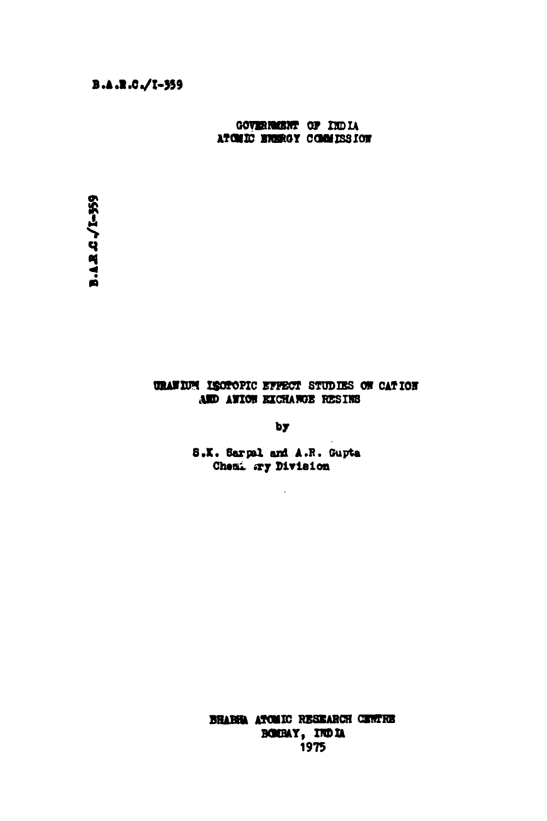GOVERNISHT OF INDIA ATOMIC ENERGY COMMISSION

#### URAWIUM ISOTOPIC EFFECT STUDIES ON CATION AND AWION EXCHANGE RESINS

 $b**y**$ 

S.K. Sarpel and A.R. Gupta Chemi ary Division

BRABIA ATOMIC RESEARCH CENTRE BOOBAY, INDIA 1975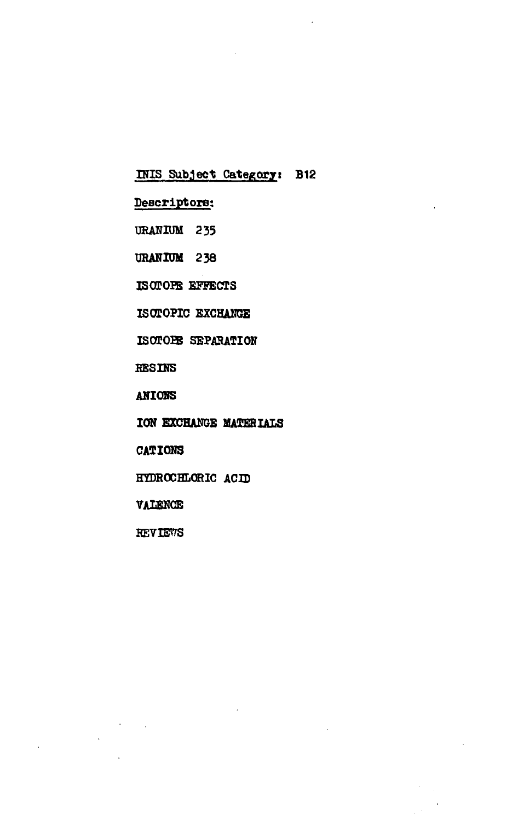### **IRIS Subjec t Categoryi B12**

### **Descriptors:**

- **DRAHIUM 235**
- **URANIUM 238**
- **ISOTOPE EFFECTS**
- **ISOTOPIC EXCHANGE**
- **ISOTOIE SEPARATION**
- **RESINS**
- **AHIOBS**
- **ION EXCHANGE MATERIALS**

 $\mathcal{L}^{(1)}$ 

- **CATIONS**
- **HYDROCHLORIC ACID**
- **VAIEHCE**
- **REVIEWS**

 $\epsilon_{\rm{max}}$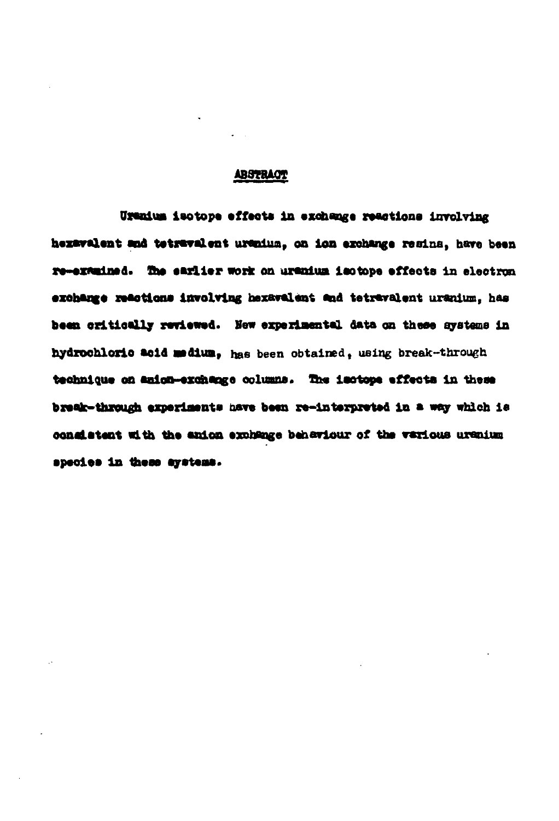#### **AB3TOAQT**

**isotope affaota in axohanga raaetiona inrolvlng hazavalant and tstraralvnt uranlua, oa Ion azohanga resins, hare been ra »TW,liwd. fi» •ftrllvr work on oranlua laotope offeots In eleotron •Mh«m« naottona Involving taex»v«l«i« and tetzttralant uranium, has baan odtioallj r«fia«a4. Hew ezpezlaental data on thaas** *gjatme* **In hydxoohloxlo aoid aadlua, has been obtained, using break-through** technique on anion-exchange columns. The isotope effects in these **braate-through axperlaants nare baan ra-intarpratad in a way which la oonalatant with tha anion axohanga baheriour of tha various uraoitn spaoiaa in thaaa ayataoa.**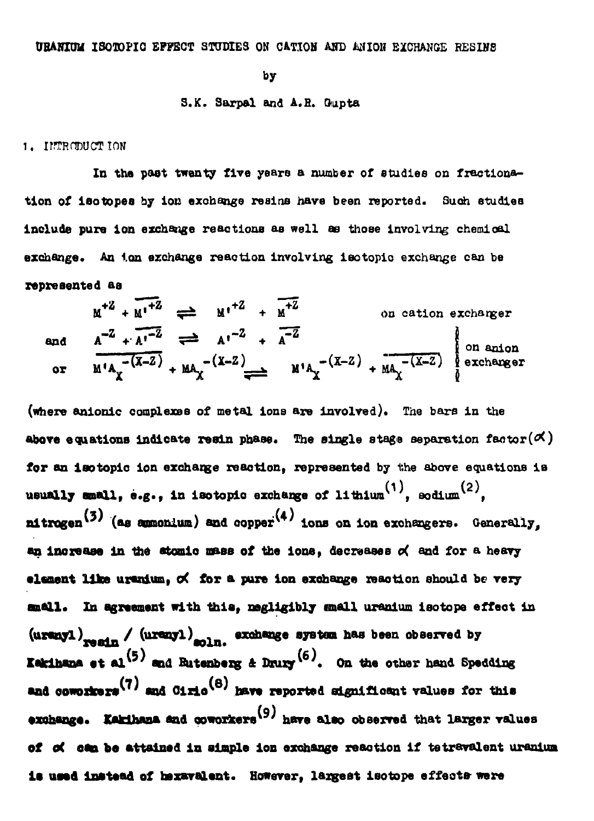#### URANIUM ISOTOPIC EFFECT STUDIES ON CATION AND ANION EXCHANGE RESINE

bу

#### S.K. Sarpal and A.R. Gupta

#### 1. INTRODUCTION

In the past twenty five years a number of studies on fractionation of 180 topes by ion exchange resins have been reported. Such studies include pure ion exchange reactions as well as those involving chemical exchange. An ian exchange reaction involving isotopic exchange can be represented as

 $M^{+2} + M^{+2} \rightleftharpoons M^{+2} + M^{+2}$ on cation exchanger and  $A^{-Z} + A^{-Z}$   $\longrightarrow$   $A^{2} + A^{-Z}$   $\longrightarrow$   $A^{-Z}$   $\longrightarrow$   $A^{-Z}$ <br>or  $M^*A_Y^{-(X-Z)} + MA_X^{-(X-Z)}$   $\longrightarrow$   $M^*A_Y^{-(X-Z)} + MA_X^{-(X-Z)}$  exchanger

(where anionic complexes of metal ions are involved). The bars in the above equations indicate resin phase. The single stage separation factor( $\varphi$ ) for an isotopic ion exchange reaction, represented by the above equations is usually amall. e.g.. in isotopic exchange of lithium<sup>(1)</sup>, sodium<sup>(2)</sup>. nitrogen<sup>(3)</sup> (as ammonium) and copper<sup>(4)</sup> ions on ion exchangers. Generally, an increase in the atomic mass of the ions, decreases of and for a heavy element like uranium, of for a pure ion exchange reaction should be very amall. In agreement with this, negligibly small uranium isotope effect in (uranyl) medn / (uranyl) exchange system has been observed by **Eakihana** et al<sup>(5)</sup> and Eutenberg & Drury<sup>(6)</sup>. On the other hand Spedding and coworkers<sup>(7)</sup> and  $01\pi$ o<sup>(8)</sup> have reported significant values for this exchange. Kakihana and coworkers<sup>(9)</sup> have also observed that larger values of od com be attained in simple ion exchange reaction if tetravalent uranium is used instead of hexavalent. However, largest isotope effects were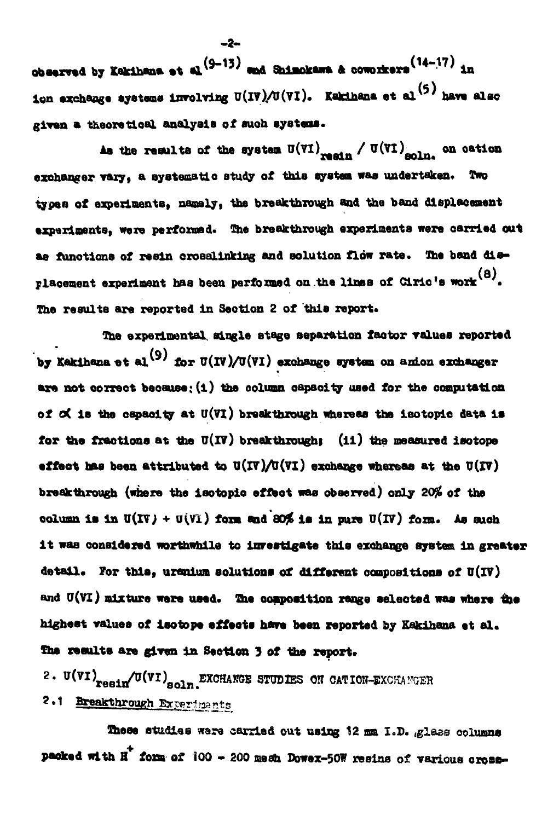**obaarwd by Kakihsna at al/ <sup>9</sup> " 1 3 ' and Shimokawa ft ooworkera( 4" In Ion exchange eyeteme Involving U(l7)./0(7l). Kaklhana et al\*<sup>5</sup> ' have also given a theoretical analysis of auoh systems.**

As the results of the system  $U(VI)$   $_{\tt result}$  / $U(VI)$   $_{\tt solid}$  on oation exchanger vary, a systematic study of this system was undertaken. Two **types of experiments, namely, the breakthrough and the band displacement experiments, were performed. The breakthrough experiments were oarrled out** as functions of resin crosalinking and solution flow rate. The band dis**fa)** placement experiment has been performed on the lines of Ciric's work .<sup>00</sup>. The results are reported in Section 2 of this report.

**The experimental single stage separation faotor values reported** by Kakihana et al<sup>(9)</sup> for  $U(IV)/U(VI)$  exchange system on anion exchanger **are not correct because: (i) the column oapaoity used for the computation of** *oi* **ia the oapaoity at u(vi) breakthrough whexeaa the ieotoplc data la for the fractions at the 0(17) breakthroughi (il) the measured isotope effect has been attributed to**  $U(IV)/U(VI)$  **exchange whereas at the**  $U(IV)$ breakthrough (where the isotopic effect was observed) only 20% of the  $\text{column is in } U(\text{IV}) + U(\text{VI})$  form and 80% is in pure  $U(\text{IV})$  form. As such **i t waa considered worthwhile to investigate this exchange system In greater detail, for thie. uranium solutions of different compositions of U(lV)** and U(VI) mixture were used. The composition range selected was where the highest values of isotope effects have been reported by Kakihana et al. The results are given in Section 3 of the report.

**2. <sup>u</sup>( vl)reBll/0(Vl)soln<EXCHANSE STUDIES OIT OATIOH-EXCKA!!GSR 2.1 Breakthrough Experiments** 

These studies ware carried out using 12 mm I.D. glass columns **packed with H fora of 100 - 200 mesh Dowex-50W resine of various oro**

**- 2 -**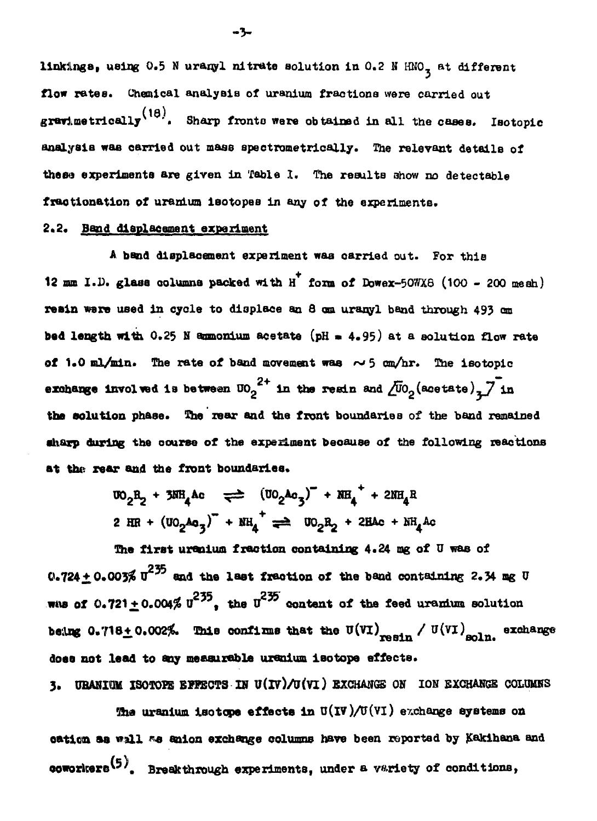linkings, using 0.5 N uranyl nitrate solution in 0.2 N HNO<sub>3</sub> at different flow rates. Chemical analysis of uranium fractions were carried out gravimetrically<sup>(18)</sup>. Sharp fronts were obtained in all the cases. Isotopic analysia was carried out mass spectrometrically. The relevant details of these experiments are given in Table I. The results show no detectable fractionation of uranium isotopes in any of the experiments.

# 2.2. Band displacement experiment

A band displacement experiment was carried out. For this 12 mm I.D. glass columns packed with H form of Dowex-50WX8 (100 - 200 mesh) resin were used in cycle to displace an 8 cm uranyl band through 493 cm bed length with 0.25 N ammonium acetate (pH = 4.95) at a solution flow rate of 1.0 ml/min. The rate of band movement was  $\sim$  5 cm/hr. The isotopic exchange involved is between  $10^{-2+}$  in the reain and  $\overline{\tilde{C}}$  $0$  (acetate)<sub>z</sub> $\overline{\phantom{C}}$  in the solution phase. The rear and the front boundaries of the band remained sharp during the course of the experiment because of the following reactions at the rear and the front boundaries.

> $W_0 A_2 + 3WH_4 A_0 \implies (W_0 A_0 A_3)^+ + NH_4 + 2MH_4 R$ 2 HR +  $(100_2Aa_3)^T$  +  $NH_A^+$  =  $100_2R_2$  + 2HAc +  $NH_AAC$

The first urenium frection containing 4.24 mg of U was of 0.724  $\pm$  0.003%  $\pi^{235}$  and the last fraction of the band containing 2.34 mg U when of  $0.721 + 0.004\%$   $u^{235}$ , the  $u^{235}$  content of the feed uranium solution being 0.718 $\pm$  0.002%. This confirms that the U(VI) resin / U(VI) soln. exchange does not lead to any measurable uranium isotope effects.

3. URANIUM ISOTOPE EPPECTS IN U(IV)/U(VI) EXCHANGE ON ION EXCHANGE COLUMNS

The uranium isotope effects in  $U(IV)/U(VI)$  exchange systems on cation as wall as anion exchange columns have been reported by Kakihana and coworkers<sup>(5)</sup>. Breakthrough experiments, under a variety of conditions,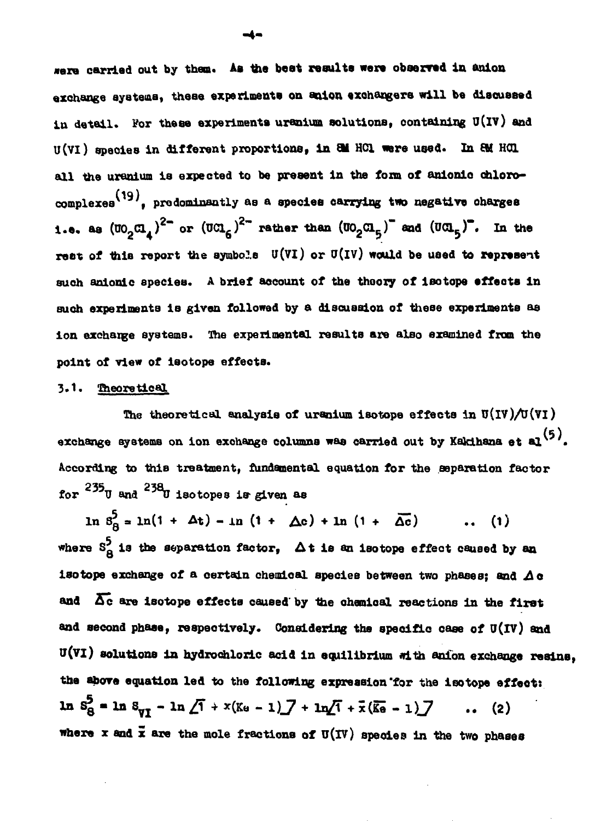**«era carried out by then\* As the beat reaulte were observed In anlon exchange ayateaa, theae experiments on anion exchangers will be diacuaaed iu detail. For these experiments uranium aolutlona, containing O(iv) and U(Vl) species In different proportions, in 8H HC1 Here used. In EM HQ all the uranium is expected to be present in the form of anionio ohlorocomplexea<sup>v</sup> , predominantly BB a species carrying two negative oharges i.e. as**  $(\mathfrak{w}_{2}\mathfrak{a}_{4})^{2}$  **or**  $(\mathfrak{w}\mathfrak{a}_{5})^{2}$  **rather than**  $(\mathfrak{w}_{2}\mathfrak{a}_{5})$  **and**  $(\mathfrak{w}\mathfrak{a}_{5})$ **. In the rest of this report the aymbols U(Vl) or O(iv) would be used to represent such anionic species. A brief aocount of the theory of isotope effeota in such experiments 1B given followed by a discussion of theae experiments as ion exchange systems. The experimental results are also examined from the point of view of isotope effects.**

#### **3.1. Theoretical**

The theoretical analysis of uranium isotope effects in  $U(IV)/U(VI)$ **(5) exchange systems on ion exohange columns was carried out by Kakihana et al <sup>v</sup> '. According to this treatment, fundamental equation for the separation factor** for  $^{235}$ U and  $^{238}$ U isotopes is given as

 $\ln 8^5_8 = \ln(1 + \Delta t) - \ln (1 + \Delta c) + \ln (1 + \Delta \overline{c})$  ... (1) where  $S_A^5$  is the separation factor,  $\Delta t$  is an isotope effect caused by an **where Sg is the separation factor, A t is an isotope effect caused by an isotope exchange of a certain chemical apecies between two phases; and and 5 c are Isotope effects caused' by the ahemical reactions in the first and second phase, respectively. Considering the specific case of O(IV) and u(vi) solutions in hydrochloric acid in equilibrium with anlon exchange resins, the above equation led to the following expression'for the isotope effeot:**  $\ln 8^2 = \ln 8^1$   $\sqrt{1} + x(k_0 - 1) - 7 + \ln(1 + \frac{\pi}{6}) = -1$  (2) **where x and x are the mole fractions of u(iv) speoies in the two phases**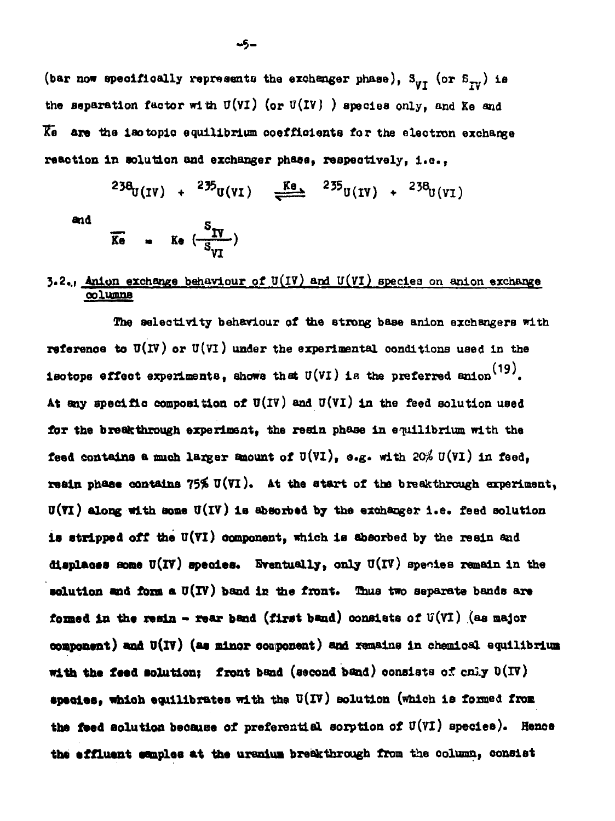(bar now specifically represents the exchanger phase),  $S_{VI}$  (or  $S_{IV}$ ) is the separation factor with  $U(VI)$  (or  $U(IV)$  ) species only, and Ke and Ke are the isotopic equilibrium coefficients for the electron exchange reaction in solution and exchanger phase, respectively, i.e.,

$$
^{238}U(IV) + ^{235}U(VI) \xrightarrow{Ke} ^{235}U(IV) + ^{238}U(VI)
$$

and

$$
\overline{K} = K \bullet \left( \frac{S_{IV}}{S_{VI}} \right)
$$

## **3.2., Anion exchange behaviour of**  $U(IV)$  **and**  $U(VI)$  **species on anion exchange**  $\frac{1}{2}$

The selectivity behaviour of the strong base anion exchangers with reference to  $U(V)$  or  $U(VI)$  under the experimental conditions used in the isotops effect experiments, shows that U(VI) is the preferred anion  $^{(19)}$ . At any specific composition of  $U(IV)$  and  $U(VI)$  in the feed solution used for the breakthrough experiment, the resin phase in equilibrium with the feed contains a much larger amount of  $U(VI)$ , e.g. with  $20\frac{2}{\pi}U(VI)$  in feed, resin phase contains  $75\%$  U(VI). At the start of the breakthrough experiment,  $U(VI)$  along with some  $U(IV)$  is absorbed by the exchanger i.e. feed solution is stripped off the U(VI) component, which is absorbed by the resin and displaces some  $U(IV)$  species. Eventually, only  $U(IV)$  species remain in the solution and form a  $U(V)$  band in the front. Thus two separate bands are formed in the resin - rear band (first band) consists of  $U(VI)$  (as major component) and U(IV) (as minor component) and remains in chemical equilibrium with the feed solution: front band (second band) consists of cnly  $D(TV)$ species. which equilibrates with the U(IV) solution (which is formed from the feed solution because of preferential sorption of  $U(VI)$  species). Hence the effluent samples at the uranium breakthrough from the column, consist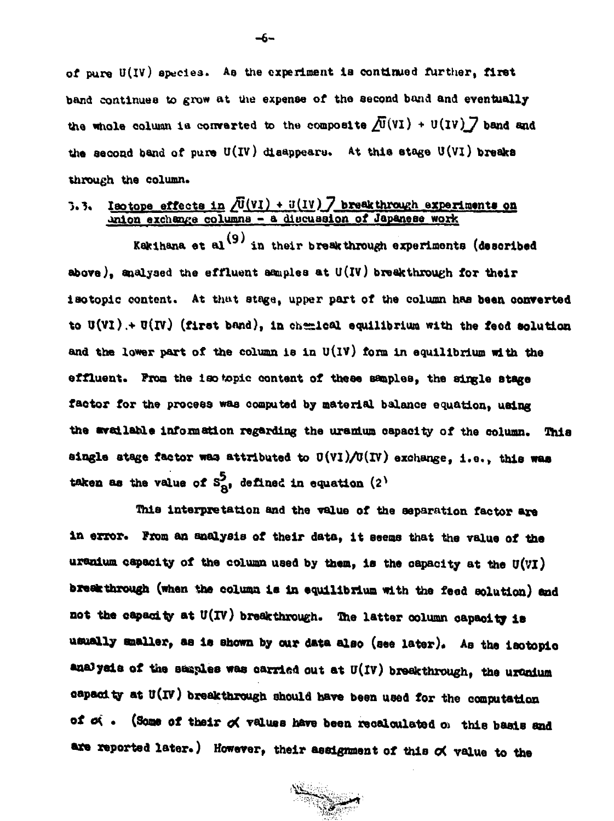**of pure U(IV) species. Aa the experiment la continued further, first band continues to grow at the expense of the second bond and eventually** the whole column is converted to the composite  $\sqrt{U}(VI) + U(IV)$  band and **the second band of pure U(iv) disappears. At thla stage U(vi) breaka through the column.**

## **1.-?, laotope effects in /U(Vl) + »(IV) 7 breakthrough experiments on onion exchange columns - a dloeuaalon of Japanese work**

Kakihana et al<sup>(9)</sup> in their breakthrough experiments (described **above), analysed the effluent samples at U(lv) breakthrough for their iaotopic content. At that stage, upper part of the column has been converted** to  $U(VI)$  +  $U(V)$  (first band), in chemical equilibrium with the feed solution **and the lower part of the column is in U(iv) form in equilibrium with the effluent. From the 1 so topic content of these samples, the single stage factor for the process was computed by material balanoe equation, using the available information regarding the uranium capacity of the column. This single stage factor was attributed to 0(Vl)/0(lV) exchange, i.e. , this waa taken as the value of**  $S^2_{\mathbf{R}'}$ **, defined in equation (2<sup>)</sup>** 

**This interpretation and the value of the separation factor are in error. From an analysis of their data, it seems that the value of the uranium capacity of the column used by then, is the capacity at the U(vi) breakthrough (when the column is in equilibrium with the feed solution} and** not the capacity at U(IV) breakthrough. The latter column capacity is **usually mailer, as Is shown by our data also (see later)\* AB the isotopio** analysis of the samples was carried out at U(IV) breakthrough, the uranium **capacity at U(lV) breakthrough should have been used for the computation** of  $\alpha$  . (Some of their  $\alpha$  values have been recalculated op this basis and are reported later.) However, their assignment of this od value to the

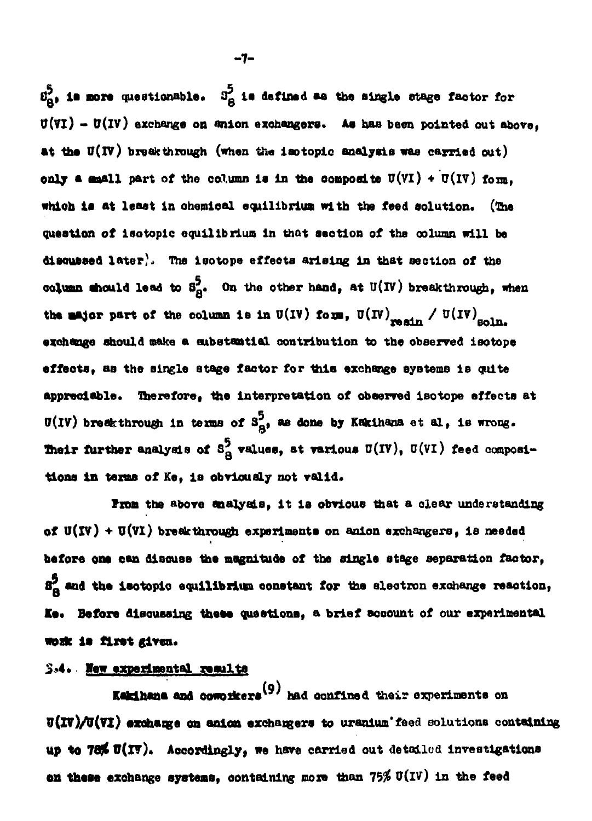$\mathfrak{L}^5_{\mathbf{B}^1}$  is nore questionable.  $3^5_{\mathbf{B}}$  is defined as the single stage factor for **O(Vl) - U(lV) exchange on anion exchangers. Ae haa been pointed out above,** at the U(IV) breakthrough (when the iaotopic analysis was carried out) **only a amall part of the column is in the composite**  $U(VI) + U(IV)$  **form. whioh la at least in ohoroical equilibrium with the feed solution. (The question of isotopic equilibrium in that section of the column will be dlsoufteed later), The isotope effeota arising in that section of the column should lead to**  $s_A^5$ **.** On the other hand, at  $U(IV)$  breakthrough, when the major part of the column is in  $U(IV)$  form,  $U(IV)$ <sub>mode</sub> /  $U(IV)$ <sub>=23m</sub> **exchange should make a substantial contribution to the observed isotope effects, as the single stage factor for 1hla exchange systems 1B quite appreciable. Therefore, the Interpretation of observed isotope effects at**  $U(IV)$  breakthrough in terms of  $S_{\mathbf{A}^*}^5$  as done by Kakihana et al, is wrong. **Their further analysis of**  $S^5_A$  **values, at various**  $U(V)$ **,**  $U(VI)$  **feed composi**tions in terms of Ke, is obviously not valid.

From the above analysis, it is obvious that a clear understanding of  $U(IV) + U(VI)$  breakthrough experiments on anion exchangers, is needed **before one can disouse the magnitude of the single stage separation factor, 81 and the laotoplo equilibrium oonetant for me electron exchange reaction, Ke« Before disousslng theee questions, a brief account of our experimental work is first given.** 

#### **S«4.. Haw experiaental resulta**

**Eakihana and comorkers<sup>(9)</sup>** had confined their experiments on **Kaklhana and oowoikers\* ' had confined their experiments on U(IV)/U(VI) exchange on anion exchangers to uranium feed solutions containing**<br>up to 78% U(IV). Accordingly, we have carried out detailed investigations **up** *to* **78jt O(IV). Accordingly, we have carried out detailed investigations on these exchange systems, containing ooze than 75\$ V(iv) in the feed**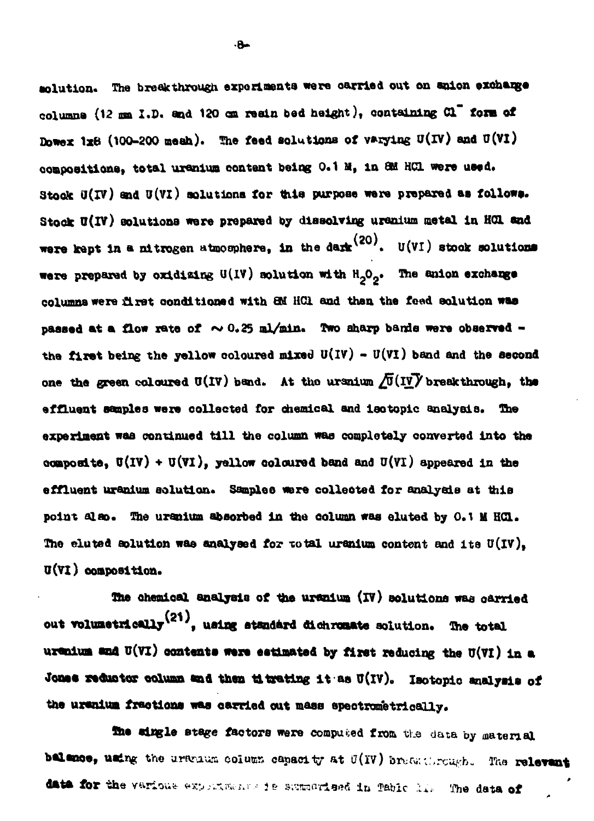solution. The break through experiments were carried out on anion exchange **columns (12 on I.D. and 120 cm realn bed height), containing d" torn of** Dowex  $1x6$  (100-200 meah). The feed solutions of varying  $U(IV)$  and  $U(VI)$ compositions, total uranium content being 0.1 M, in 8M HCl were used. **Stook 0(17) and U(Vl) aolutlona for thie purpose were prepared as followa.** Stock U(IV) solutions were prepared by dissolving uranium metal in HCL and **were kept in a nitrogen atmosphere, in the dark** (20). U(VI) stock solutions **were prepared by oxidising U(1V) solution with HgOg. The anlon exchange columns were £Lrat conditioned with** *QA* **HC1 and then the feed solution waa** passed at a flow rate of  $\sim 0.25$  ml/min. Two aharp bands were observed **the flrat being the yellow coloured mixed U(iv) - U(vi) band and the second** one the green coloured  $U(IV)$  band. At the uranium  $\sqrt{U}(IV)$  breakthrough, the **effluent aaaplea ware collected for chemical and laotoplc analysis, the experiment waa continued til l the column waa completely converted Into the Qoaposite,**  $U(IV) + U(VI)$ **, yellow coloured band and**  $U(VI)$  **appeared in the effluent uranium solution. Samplee were eolleoted for analyala at this point also. The uranium absorbed in the column was eluted by 0.1 U Hd.** The eluted solution was analysed for total uranium content and its U(IV), **O(Vl) oompoeltlon.**

**She ohemical analyala of tbe uranium (l?) aolutlona waa oarrled** out volumetrically<sup>(21)</sup>, using standard dichromate solution. The total **uranlua and U(vi) oontenta were eatlmatad by first reducing the U(Vl) la a** Jones reductor column and then titrating it as U(IV). Isotopic analysis of **the uranlua fractions waa oarrled out mass epeotrometrioally.**

**3ne alngle stage factors were computed from the data by material balance, using the urbuum column capacity at U(IV) brugg through. The relevant** data for the various experiments is summarieed in Table . I. The data of

 $A$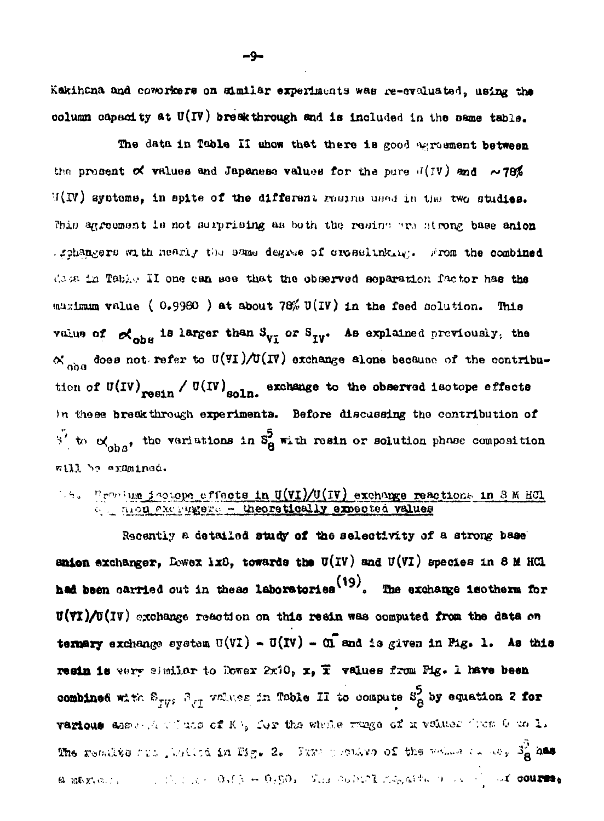Kakihana and coworkers on similar experiments was re-cycluated, using the column capacity at  $U(\mathbf{IV})$  breakthrough and is included in the same table.

The data in Table II show that there is good exposurent between the procent of values and Japanese values for the pure  $J(V)$  and  $\sim$  78%  $U(N)$  systems, in spite of the different rasing used in the two studies. This agreement is not surprising as both the rading are strong base anion schangers with nearly the same degree of crosslinking. From the combined dasa in Table II one can see that the observed separation factor has the maximum value (0.9980) at about 78% U(IV) in the feed solution. This value of  $\alpha_{\text{obs}}$  is larger than  $S_{\text{yy}}$  or  $S_{\text{yy}}$ . As explained previously, the  $\propto$  so does not refer to U(VI)/U(IV) exchange alone because of the contribution of U(IV) resin / U(IV) soln. exchange to the observed isotope effects In these brackthrough experiments. Before discussing the contribution of  $\overline{S}^2$  to  $\alpha'_{\text{obs}}$ , the veriations in  $S^5_8$  with resin or solution phase composition will be examined.

# 19. Provium jactope effects in U(VI)/U(IV) exchange reactions in 8 M HCl

Recently a detailed study of the selectivity of a strong base anion exchanger, Lowex ix8, towards the U(IV) and U(VI) species in 8 M HCl had been carried out in these laboratories<sup>(19)</sup>. The exchange isotherm for  $U(T)/U(T)$  exchange resolution on this resin was computed from the data on termary exchange system  $U(VI) - U(IV) - U$  and is given in Fig. 1. As this resin is very similar to Dower 2x10, x, T values from Fig. 1 have been combined with  $E_{\text{TV}}$ ,  $E_{\text{V}}$  values in Table II to compute  $S^5_{\mathcal{B}}$  by equation 2 for various share the winds of Ki, for the whole range of n volues from 6 well. The results out , builed in Fig. 2. Thus possible of the weight of the 19 map a maximus and the low of  $\beta \sim 0.690$ . The collect megative and  $\beta$  at course,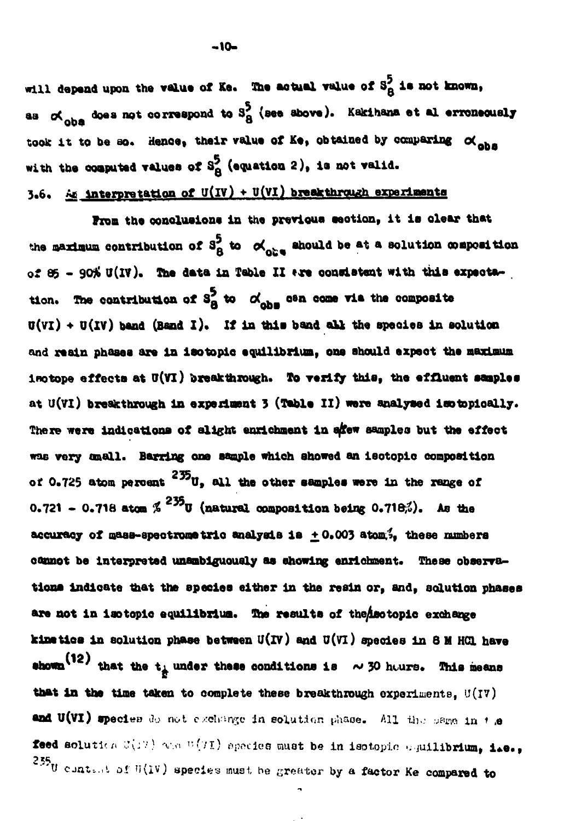will depend upon the value of Ke. The actual value of S<sub>A</sub><sup>5</sup> is not known, **aa oC w does not correspond to 3\* (see above). Kakihana et al erroneously oba °** took it to be so. Hence, their value of Ke, obtained by comparing  $\alpha$  obs with the computed values of S<sub>A</sub> (equation 2), is not valid.

# **3,6, Ae Interpretation of U(iv) •»• U(Yl) breakt<sup>t</sup> \*T')"rr<sup>h</sup> experiments**

**from the conclusions in the previous section, it ia clear that** the maximum contribution of  $S_A^5$  to  $\alpha'_{\alpha b}$  should be at a solution composition of 85 - 90% U(IV). The data in Table II **\*\*\*** consistent with this expectation. The contribution of  $S_A^5$  to  $\alpha'_{\text{abs}}$  can come via the composite **0(vi) • O(IV) band (Band I). If in this band aU the speoiea In solution and resin phases are in isotopio equilibrium, one should expeot the maxLoum** isotope effects at U(VI) breakthrough. To verify this, the effluent samples at U(VI) breakthrough in experiment 3 (Table II) were analysed isotopically. **There were indications of slight enrichment In a/few samples but the effect wae very onall. Barring**  *oai* **aooiple which snowed an isotopio composition** of 0.725 atom percent <sup>235</sup>U, all the other samples were in the range of **0.721 - 0.71B atom** *%***<sup>235</sup>U (natural composition being 0.718^). As ttie accuracy of naas-apeotrometrio analysla ia ^ 0.003 atom,ty these numbers oaunot be interpreted unambiguously as showing enrlehment. These observations indicate that the species either in the resin or, and, solution phases** are not in isotopic equilibrium. The results of the aotopic exchange **klattioa in solution phase between U(IV) and U(Vl) species in 8 M HGL have**  $\mathbf{e}$  **ahown** $\left( \mathbf{12}\right)$  that the t<sub>i</sub> under these conditions is  $\sim$  30 h $\omega$ rs. This means that in the time taken to complete these breakthrough experiments, U(IV) and U(VI) species *O.* not exchange in solution phase. All the same in  $t$  ,e **feed** solution  $U(T)$  was  $U(T)$  apocies must be in isotopic coullibrium, i.e., 235<sub>U</sub> contant of  $U(IV)$  species must he greator by a factor Ke compared to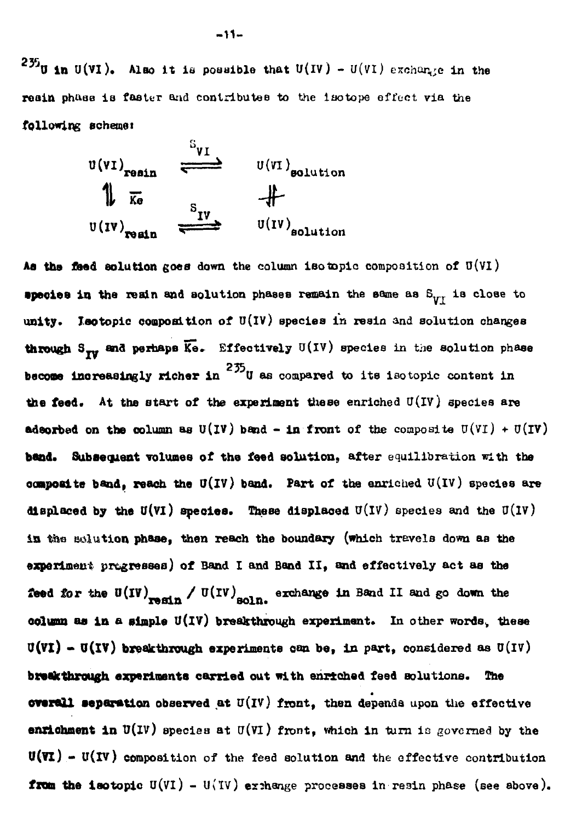$235$ **0 in U(VI).** Also it is possible that U(IV) - U(VI) exchange in the **reain phnae is faster and contributes to the laotope effect via the following achemet**



**Aa the feed solution goes down the column iso topic composition of O(Vl) species in the reain and solution phases remain the same as**  $S_{VI}$  **is close to unity. Iaotopic composition of U(IV) species in resin and solution changes through**  $S_{\tau v}$  **and perhaps**  $\overline{K}e$ **.** Effectively  $U(V)$  species in the solution phase **become increasingly richer in**  $^{235}$ **U** as compared to its isotopic content in **the feed. At the start of the experiment these enriched U(iv) species are adsorbed on the column as**  $U(IV)$  **band - in front of the composite**  $U(VI) + U(IV)$ **band. Subsequent volumes of the feed solution, after equilibration with the oompoeite band, reach the U(lV) band. Part of the enriched U(iv) species are displaced by the U(VI) species. These displaced**  $U(IV)$  **species and the U(IV) ia the solution phase, then reach the boundary (which travels down as the experiment progresses) of Band I and Band II, and effectively act aa the feed for the U(IV)** resin / U(IV) soln. exchange in Band II and go down the **oolunn as in a simple O(lV) breakthrough experiment. In other wordsv these**  $U(VI) - U(IV)$  breakthrough experiments can be, in part, considered as  $U(IV)$ **breakthrough experiments carried out with enriched feed solutions. The overall separation observed at u(iv) front, then depends upon the effective enrichment in**  $U(U)$  species at  $U(U)$  front, which in turn is governed by the **U(¥l) - II(IV) composition of the feed solution and the effective contribution from the isotopic**  $U(VI) - U(IV)$  **exchange processes in resin phase (see above).**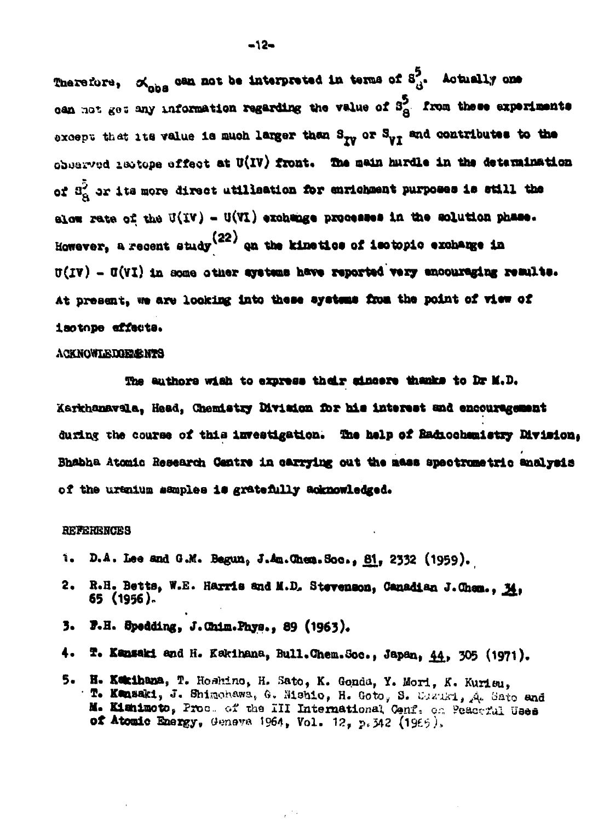Therefore,  $\mathcal{A}_{\text{obs}}$  can not be interpreted in terms of  $S_A^{\bar{5}}$ . Actually one can not get any information regarding the value of S<sub>A</sub>. from these experiments except that its value is much larger than  $S_{yy}$  or  $S_{yT}$  and contributes to the observed isotope effect at U(IV) front. The main hardle in the determination of  $3^2$  or its more direct utilisation for enrichment purposes is still the elow rate of the U(IV) - U(VI) exchange processes in the solution phase. However, a recent study  $(22)$  on the kinetics of isotopic exchange in  $\sigma(IV)$  -  $\sigma(VI)$  in some other systems have reported very encouraging results. At present, we are looking into these systems from the point of view of isotope effecta.

#### **ACKNOWLEDGEMES**

The authors wish to express their sincere thanks to Dr M.D. Karkhanavala, Head, Chemistry Division for his interest and encouragement during the course of this investigation. The help of Radiochemistry Division. Bhabha Atomic Research Centre in carrying out the mass spectrumetric analysis of the urenium samples is gratefully acknowledged.

#### **REFERENCES**

- D.A. Lee and G.M. Begun, J.Am.Chem.Soc., 81, 2332 (1959). ٦.
- 2. R.H. Betts, W.E. Harris and M.D. Stevenson, Canadian J.Chem., 34, 65 (1956).
- F.H. Spedding, J.Chim.Phys., 89 (1963). 3.
- 4. T. Kansaki and H. Kakihana, Bull. Chem. Soc., Japan, 44, 305 (1971).
- 5. H. Kakihana, T. Hoshino, H. Sato, K. Gonda, Y. Mori, K. Kurisu, T. Kensaki, J. Shimohawa, G. Mishio, H. Goto, S. Cazaki, A. Sato and M. Kishimoto, Proc. of the III International Cenf. on Peaceful Uses of Atomic Energy, Geneva 1964, Vol. 12, p.342 (1966).

 $\tilde{e}^{(1)}$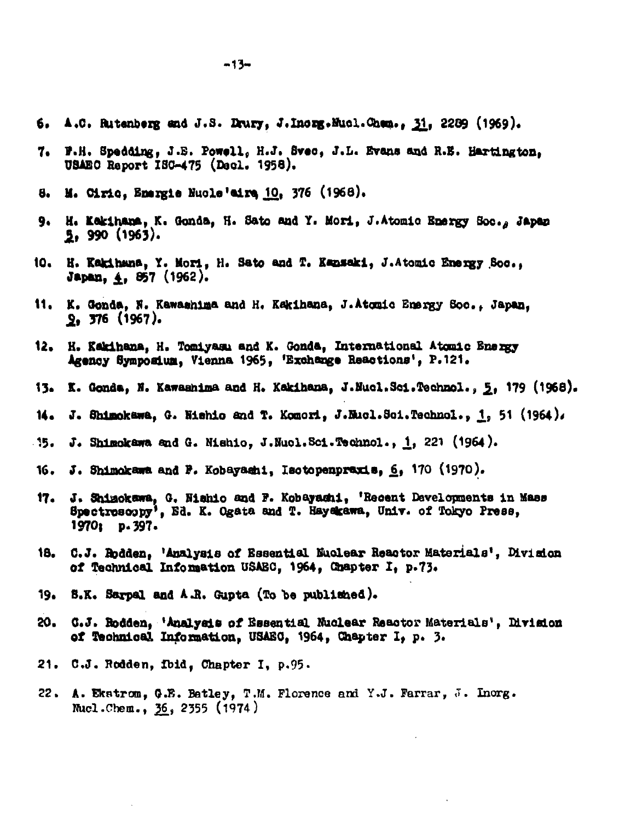- 6. A.C. Rutanberg and J.S. Drury, J.Inorg.Mucl.Cham., 31, 2289 (1969).
- F.H. Spedding, J.E. Powell, H.J. Svec, J.L. Evans and R.E. Hartington. USAEC Report ISC-475 (Dacl. 1958).
- 8. M. Ciric, Emergie Nucle'airs 10, 376 (1968).
- 9. H. Kakihana, K. Gonda, H. Sato and Y. Mori, J. Atomic Energy Soc., Japan 5. 990 (1963).
- 10. H. Kakihana, Y. Mori, H. Sato and T. Kansaki, J.Atomic Energy Soc.. Japan, 4, 857 (1962).
- 11. K. Gonda. N. Kawashima and H. Kakihana, J.Atomic Emergy Soc., Japan.  $9.376(1967)$ .
- 12. H. Kakihana, H. Tomiyasu and K. Gonda, International Atomic Energy Agency Symposium. Vienna 1965. 'Exchange Reactions', P.121.
- 13. K. Gonda, N. Kawashima and H. Kakihana, J.Nucl.Sci.Technol., 5, 179 (1968).
- 14. J. Shimokawa, G. Nishio and T. Komori, J.Mucl.Sci.Technol., 1, 51 (1964),
- J. Shimokawa and G. Nishio, J.Nucl.Sci.Technol., 1, 221 (1964).  $-15.$
- J. Shimokawa and P. Kobayashi, Isotopenpraxis, 6, 170 (1970). 16.
- J. Shizokawa, G. Nishio and F. Kobayashi, 'Recent Davelopments in Mass 17. Spectrosoopy', Ed. K. Ogata and T. Hayekawa, Univ. of Tokyo Press, 1970; p. 397.
- 18. C.J. Rodden. 'Analysis of Essential Nuclear Reactor Materials', Division of Technical Information USAEC, 1964, Chapter I, p.73.
- 19. S.K. Sarpal and A.R. Gupta (To be published).
- 20. C.J. Rodden, 'Analysis of Essential Nuclear Reactor Materials', Division of Technical Information. USAEC. 1964. Chapter I. p. 3.
- 21. C.J. Rodden, Ibid, Chapter I, p.95.
- 22. A. Ekstrom, G.E. Batley, T.M. Florence and Y.J. Farrar, J. Inorg. Mucl.Chem., 36, 2355 (1974)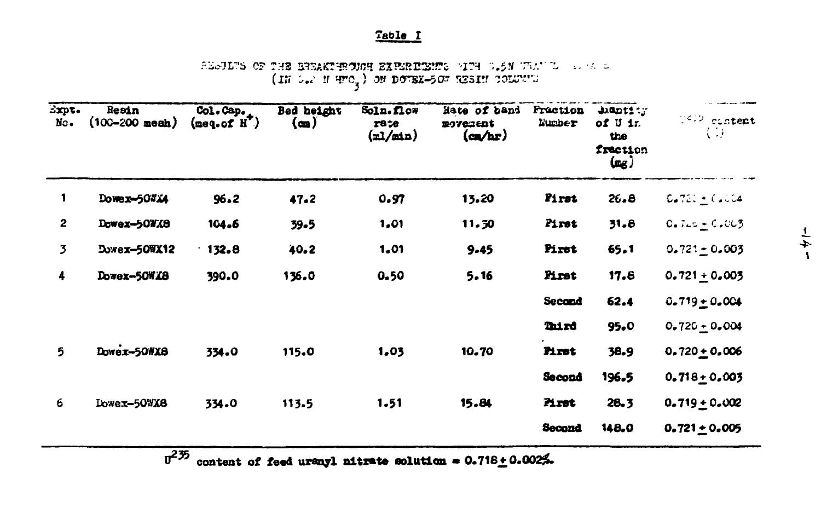### Table I

SEGUES OF THE BREAKTERGICH EXPERIENCE PIPE O.5N TAULO COMPOSES (IN O.2 M PPO ) ON DOWNE-507 RESIN COLUMN

| Expt.<br>No.   | Resin<br>$(100 - 200 \text{ mesh})$ | Col. Cap.<br>$(\text{seq. of } H^{\mathsf{T}})$ | Bed height<br>(m) | Soln. flow<br>rate<br>$(\text{nl}/\text{ml})$ | Hate of band<br><b>EOVerent</b><br>$(\alpha x)$ | <b>Fraction</b><br>Number | $\texttt{undist}$<br>of U ir.<br>the<br>frection<br>$(\mathfrak{a}_\mathcal{B})$ | 1442 content<br>$\left( \begin{array}{c} \cdot & \cdot \\ \cdot & \cdot \end{array} \right)$ |
|----------------|-------------------------------------|-------------------------------------------------|-------------------|-----------------------------------------------|-------------------------------------------------|---------------------------|----------------------------------------------------------------------------------|----------------------------------------------------------------------------------------------|
| 1              | Dower-507X4                         | 96.2                                            | 47.2              | 0.97                                          | 13.20                                           | Pirst                     | 26.8                                                                             | $0.721 + 0.004$                                                                              |
| $\mathbf{2}$   | Dowez-50WX8                         | 104.6                                           | $59 - 5$          | 1,01                                          | 11.30                                           | Pirst                     | 31.8                                                                             | $0.720 + 0.003$                                                                              |
| $\overline{3}$ | Dowex-50WX12                        | $-132.8$                                        | 40.2              | 1.01                                          | $9 - 45$                                        | Pirst                     | 65.1                                                                             | $0.721 \pm 0.003$                                                                            |
| 4              | Dowex-50WX8                         | 390.0                                           | 136.0             | 0.50                                          | 5.16                                            | Pirst                     | 17.8                                                                             | $0.721 \pm 0.003$                                                                            |
|                |                                     |                                                 |                   |                                               |                                                 | Second                    | 62.4                                                                             | $0.719 + 0.004$                                                                              |
|                |                                     |                                                 |                   |                                               |                                                 | Third                     | 95.0                                                                             | $0.720 + 0.004$                                                                              |
| 5              | Dower-50WX8                         | 334.0                                           | 115.0             | 1.03                                          | 10.70                                           | Pirst                     | 38.9                                                                             | $0.720 \pm 0.006$                                                                            |
|                |                                     |                                                 |                   |                                               |                                                 | Second                    | 196.5                                                                            | $0.718 + 0.005$                                                                              |
| 6              | Dowex-50WX8                         | 334.0                                           | 113.5             | 1.51                                          | 15.84                                           | Pirst                     | 28.3                                                                             | $0.719 + 0.002$                                                                              |
|                |                                     |                                                 |                   |                                               |                                                 | Second                    | 148.0                                                                            | $0.721 \pm 0.005$                                                                            |

 $\overline{u}^{2\overline{25}}$  content of feed uranyl nitrate solution = 0.718 + 0.002%.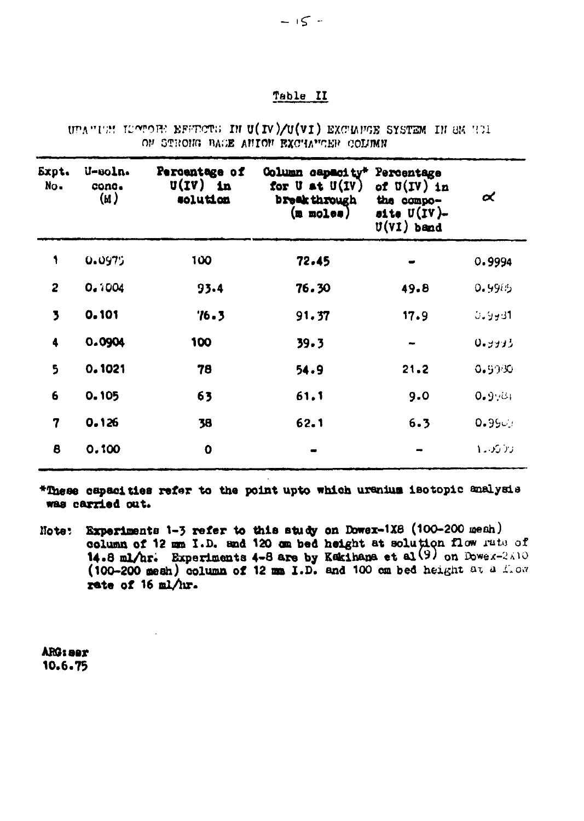#### Table II

|  |  | UPANIEM ILOTORE EFERCTS IN U(IV)/U(VI) EXCHAFGE SYSTEM IN SK HOL |  |  |
|--|--|------------------------------------------------------------------|--|--|
|  |  | ON STRONG BACE ANION EXCHANGER COLUMN                            |  |  |

| Expt.<br>No.            | U-soln.<br>cone.<br>(M) | Percentage of<br>$U(IV)$ in<br>solution | Column capacity*<br>for $U$ at $U(U)$<br>broak through<br>$(m \mod 0)$ | Percentage<br>of $U(IV)$ in<br>the compo-<br>site $U(IV)$ -<br>$U(VI)$ band | $\alpha$    |
|-------------------------|-------------------------|-----------------------------------------|------------------------------------------------------------------------|-----------------------------------------------------------------------------|-------------|
| 1                       | 0.0975                  | 100                                     | 72.45                                                                  |                                                                             | 0.9994      |
| 2                       | 0.1004                  | 93.4                                    | 76.30                                                                  | 49.8                                                                        | 0.9915      |
| $\overline{\mathbf{z}}$ | 0.101                   | 76.3                                    | 91.37                                                                  | 17.9                                                                        | 11 ولادن    |
| 4                       | 0.0904                  | 100                                     | 39.3                                                                   |                                                                             | 0.9933      |
| 5                       | 0.1021                  | 78                                      | 54.9                                                                   | 21.2                                                                        | 0.9990      |
| 6                       | 0.105                   | 63                                      | 61.1                                                                   | 9.0                                                                         | انتين و 0   |
| 7                       | 0.126                   | 38                                      | 62.1                                                                   | 6.3                                                                         | 0.99c       |
| 8                       | 0.100                   | 0                                       |                                                                        |                                                                             | ازار کرد که |

\*These capacities refer to the point upto which uranius isotopic analysis was carried out.

**Experiments 1-3 refer to this study on Dower-1X8 (100-200 mesh)**<br>column of 12 mm I.D. and 120 cm bed height at solution flow rate of<br>14.8 ml/hr. Experiments 4-8 are by Kakihana et al(9) on Dower-2A10<br>(100-200 mesh) colum Note: rate of  $16$  ml/hr.

ARG: aer 10.6.75